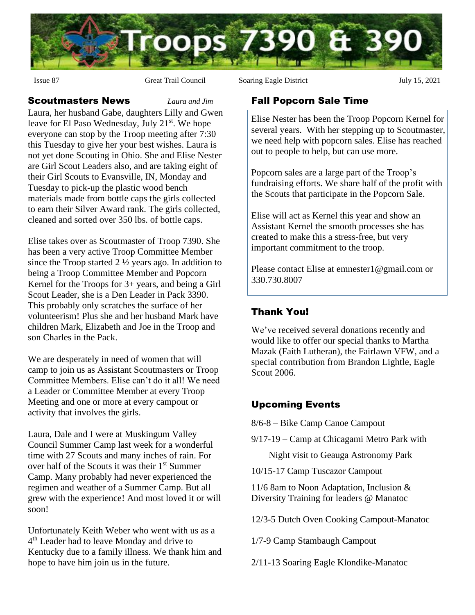

Scoutmasters News *Laura and Jim*

Laura, her husband Gabe, daughters Lilly and Gwen leave for El Paso Wednesday, July 21<sup>st</sup>. We hope everyone can stop by the Troop meeting after 7:30 this Tuesday to give her your best wishes. Laura is not yet done Scouting in Ohio. She and Elise Nester are Girl Scout Leaders also, and are taking eight of their Girl Scouts to Evansville, IN, Monday and Tuesday to pick-up the plastic wood bench materials made from bottle caps the girls collected to earn their Silver Award rank. The girls collected, cleaned and sorted over 350 lbs. of bottle caps.

Elise takes over as Scoutmaster of Troop 7390. She has been a very active Troop Committee Member since the Troop started 2 ½ years ago. In addition to being a Troop Committee Member and Popcorn Kernel for the Troops for 3+ years, and being a Girl Scout Leader, she is a Den Leader in Pack 3390. This probably only scratches the surface of her volunteerism! Plus she and her husband Mark have children Mark, Elizabeth and Joe in the Troop and son Charles in the Pack.

We are desperately in need of women that will camp to join us as Assistant Scoutmasters or Troop Committee Members. Elise can't do it all! We need a Leader or Committee Member at every Troop Meeting and one or more at every campout or activity that involves the girls.

Laura, Dale and I were at Muskingum Valley Council Summer Camp last week for a wonderful time with 27 Scouts and many inches of rain. For over half of the Scouts it was their 1<sup>st</sup> Summer Camp. Many probably had never experienced the regimen and weather of a Summer Camp. But all grew with the experience! And most loved it or will soon!

Unfortunately Keith Weber who went with us as a 4<sup>th</sup> Leader had to leave Monday and drive to Kentucky due to a family illness. We thank him and hope to have him join us in the future.

Issue 87 Great Trail Council Soaring Eagle District July 15, 2021

#### Fall Popcorn Sale Time

Elise Nester has been the Troop Popcorn Kernel for several years. With her stepping up to Scoutmaster, we need help with popcorn sales. Elise has reached out to people to help, but can use more.

Popcorn sales are a large part of the Troop's fundraising efforts. We share half of the profit with the Scouts that participate in the Popcorn Sale.

Elise will act as Kernel this year and show an Assistant Kernel the smooth processes she has created to make this a stress-free, but very important commitment to the troop.

Please contact Elise at emnester1@gmail.com or 330.730.8007

# Thank You!

We've received several donations recently and would like to offer our special thanks to Martha Mazak (Faith Lutheran), the Fairlawn VFW, and a special contribution from Brandon Lightle, Eagle Scout 2006.

# Upcoming Events

8/6-8 – Bike Camp Canoe Campout

9/17-19 – Camp at Chicagami Metro Park with

Night visit to Geauga Astronomy Park

10/15-17 Camp Tuscazor Campout

11/6 8am to Noon Adaptation, Inclusion & Diversity Training for leaders @ Manatoc

12/3-5 Dutch Oven Cooking Campout-Manatoc

1/7-9 Camp Stambaugh Campout

2/11-13 Soaring Eagle Klondike-Manatoc